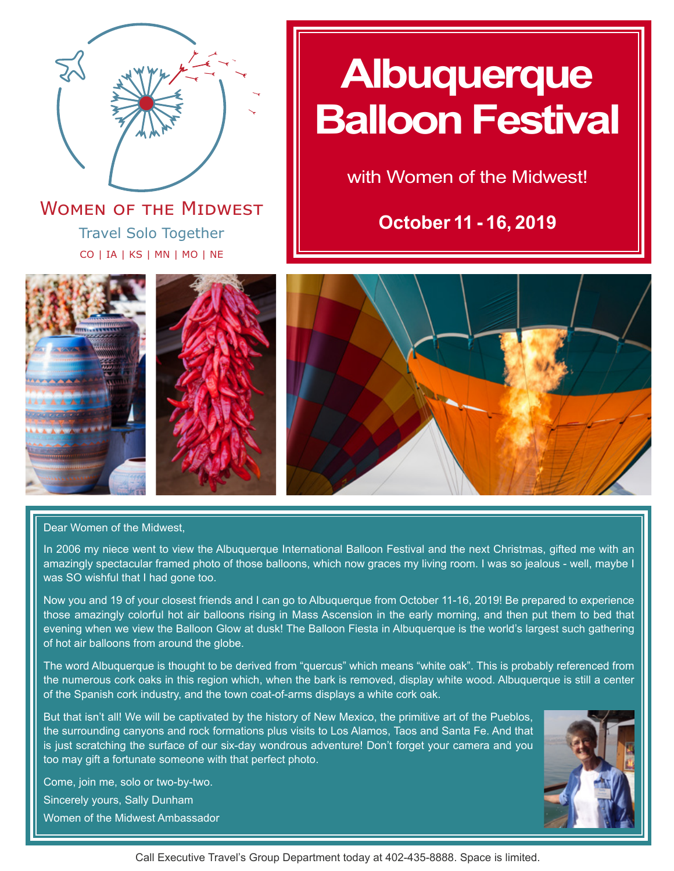

Travel Solo Together CO | IA | KS | MN | MO | NE **WOMEN OF THE MIDWEST** 

# **Albuquerque Balloon Festival**

with Women of the Midwest!

**October 11 - 16, 2019**







Dear Women of the Midwest,

In 2006 my niece went to view the Albuquerque International Balloon Festival and the next Christmas, gifted me with an amazingly spectacular framed photo of those balloons, which now graces my living room. I was so jealous - well, maybe I was SO wishful that I had gone too.

Now you and 19 of your closest friends and I can go to Albuquerque from October 11-16, 2019! Be prepared to experience those amazingly colorful hot air balloons rising in Mass Ascension in the early morning, and then put them to bed that evening when we view the Balloon Glow at dusk! The Balloon Fiesta in Albuquerque is the world's largest such gathering of hot air balloons from around the globe.

The word Albuquerque is thought to be derived from "quercus" which means "white oak". This is probably referenced from the numerous cork oaks in this region which, when the bark is removed, display white wood. Albuquerque is still a center of the Spanish cork industry, and the town coat-of-arms displays a white cork oak.

But that isn't all! We will be captivated by the history of New Mexico, the primitive art of the Pueblos, the surrounding canyons and rock formations plus visits to Los Alamos, Taos and Santa Fe. And that is just scratching the surface of our six-day wondrous adventure! Don't forget your camera and you too may gift a fortunate someone with that perfect photo.

Come, join me, solo or two-by-two. Sincerely yours, Sally Dunham Women of the Midwest Ambassador



Call Executive Travel's Group Department today at 402-435-8888. Space is limited.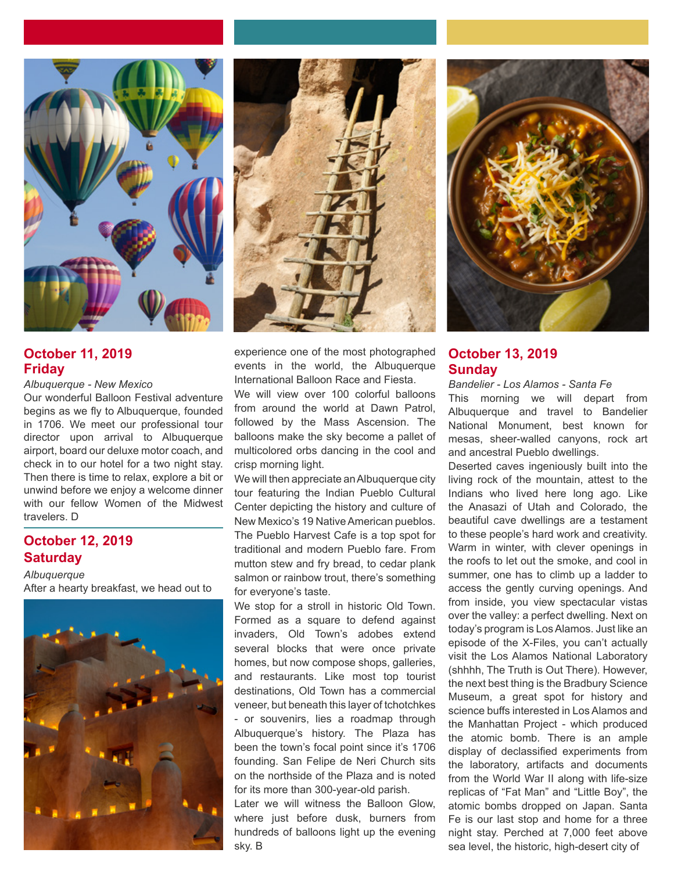

# **October 11, 2019 Friday**

*Albuquerque - New Mexico*

Our wonderful Balloon Festival adventure begins as we fly to Albuquerque, founded in 1706. We meet our professional tour director upon arrival to Albuquerque airport, board our deluxe motor coach, and check in to our hotel for a two night stay. Then there is time to relax, explore a bit or unwind before we enjoy a welcome dinner with our fellow Women of the Midwest travelers. D

# **October 12, 2019 Saturday**

*Albuquerque* After a hearty breakfast, we head out to





experience one of the most photographed events in the world, the Albuquerque International Balloon Race and Fiesta.

We will view over 100 colorful balloons from around the world at Dawn Patrol, followed by the Mass Ascension. The balloons make the sky become a pallet of multicolored orbs dancing in the cool and crisp morning light.

We will then appreciate an Albuquerque city tour featuring the Indian Pueblo Cultural Center depicting the history and culture of New Mexico's 19 Native American pueblos. The Pueblo Harvest Cafe is a top spot for traditional and modern Pueblo fare. From mutton stew and fry bread, to cedar plank salmon or rainbow trout, there's something for everyone's taste.

We stop for a stroll in historic Old Town. Formed as a square to defend against invaders, Old Town's adobes extend several blocks that were once private homes, but now compose shops, galleries, and restaurants. Like most top tourist destinations, Old Town has a commercial veneer, but beneath this layer of tchotchkes - or souvenirs, lies a roadmap through Albuquerque's history. The Plaza has been the town's focal point since it's 1706 founding. San Felipe de Neri Church sits on the northside of the Plaza and is noted for its more than 300-year-old parish.

Later we will witness the Balloon Glow, where just before dusk, burners from hundreds of balloons light up the evening sky. B



# **October 13, 2019 Sunday**

*Bandelier - Los Alamos - Santa Fe* This morning we will depart from Albuquerque and travel to Bandelier National Monument, best known for mesas, sheer-walled canyons, rock art and ancestral Pueblo dwellings.

Deserted caves ingeniously built into the living rock of the mountain, attest to the Indians who lived here long ago. Like the Anasazi of Utah and Colorado, the beautiful cave dwellings are a testament to these people's hard work and creativity. Warm in winter, with clever openings in the roofs to let out the smoke, and cool in summer, one has to climb up a ladder to access the gently curving openings. And from inside, you view spectacular vistas over the valley: a perfect dwelling. Next on today's program is Los Alamos. Just like an episode of the X-Files, you can't actually visit the Los Alamos National Laboratory (shhhh, The Truth is Out There). However, the next best thing is the Bradbury Science Museum, a great spot for history and science buffs interested in Los Alamos and the Manhattan Project - which produced the atomic bomb. There is an ample display of declassified experiments from the laboratory, artifacts and documents from the World War II along with life-size replicas of "Fat Man" and "Little Boy", the atomic bombs dropped on Japan. Santa Fe is our last stop and home for a three night stay. Perched at 7,000 feet above sea level, the historic, high-desert city of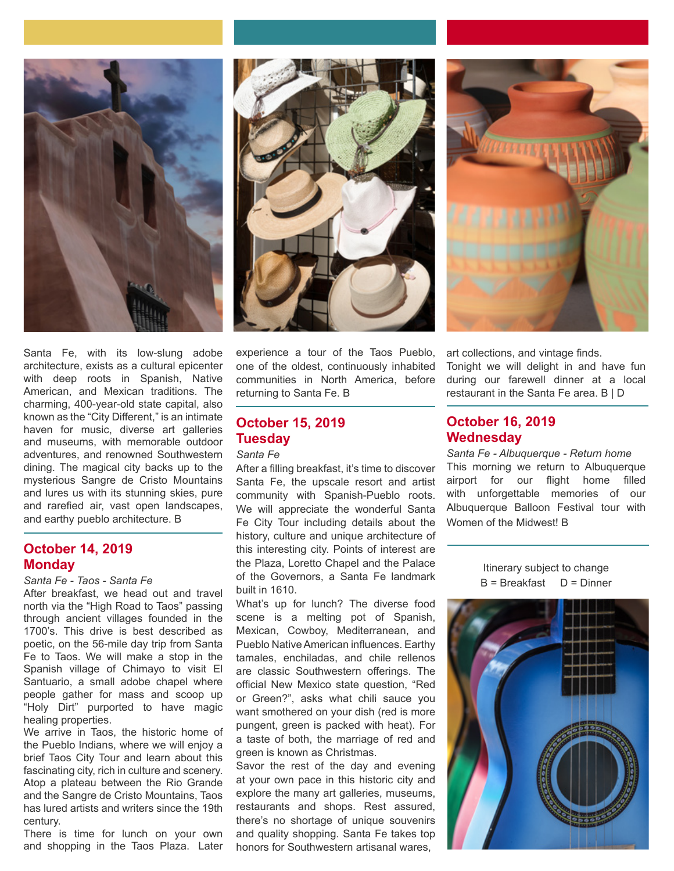





Santa Fe, with its low-slung adobe architecture, exists as a cultural epicenter with deep roots in Spanish, Native American, and Mexican traditions. The charming, 400-year-old state capital, also known as the "City Different," is an intimate haven for music, diverse art galleries and museums, with memorable outdoor adventures, and renowned Southwestern dining. The magical city backs up to the mysterious Sangre de Cristo Mountains and lures us with its stunning skies, pure and rarefied air, vast open landscapes, and earthy pueblo architecture. B

# **October 14, 2019 Monday**

#### *Santa Fe - Taos - Santa Fe*

After breakfast, we head out and travel north via the "High Road to Taos" passing through ancient villages founded in the 1700's. This drive is best described as poetic, on the 56-mile day trip from Santa Fe to Taos. We will make a stop in the Spanish village of Chimayo to visit El Santuario, a small adobe chapel where people gather for mass and scoop up "Holy Dirt" purported to have magic healing properties.

We arrive in Taos, the historic home of the Pueblo Indians, where we will enjoy a brief Taos City Tour and learn about this fascinating city, rich in culture and scenery. Atop a plateau between the Rio Grande and the Sangre de Cristo Mountains, Taos has lured artists and writers since the 19th century.

There is time for lunch on your own and shopping in the Taos Plaza. Later experience a tour of the Taos Pueblo, one of the oldest, continuously inhabited communities in North America, before returning to Santa Fe. B

# **October 15, 2019 Tuesday**

#### *Santa Fe*

After a filling breakfast, it's time to discover Santa Fe, the upscale resort and artist community with Spanish-Pueblo roots. We will appreciate the wonderful Santa Fe City Tour including details about the history, culture and unique architecture of this interesting city. Points of interest are the Plaza, Loretto Chapel and the Palace of the Governors, a Santa Fe landmark built in 1610.

What's up for lunch? The diverse food scene is a melting pot of Spanish, Mexican, Cowboy, Mediterranean, and Pueblo Native American influences. Earthy tamales, enchiladas, and chile rellenos are classic Southwestern offerings. The official New Mexico state question, "Red or Green?", asks what chili sauce you want smothered on your dish (red is more pungent, green is packed with heat). For a taste of both, the marriage of red and green is known as Christmas.

Savor the rest of the day and evening at your own pace in this historic city and explore the many art galleries, museums, restaurants and shops. Rest assured, there's no shortage of unique souvenirs and quality shopping. Santa Fe takes top honors for Southwestern artisanal wares,

art collections, and vintage finds. Tonight we will delight in and have fun during our farewell dinner at a local restaurant in the Santa Fe area. B | D

# **October 16, 2019 Wednesday**

*Santa Fe - Albuquerque - Return home* This morning we return to Albuquerque airport for our flight home filled with unforgettable memories of our Albuquerque Balloon Festival tour with Women of the Midwest! B

> Itinerary subject to change B = Breakfast D = Dinner